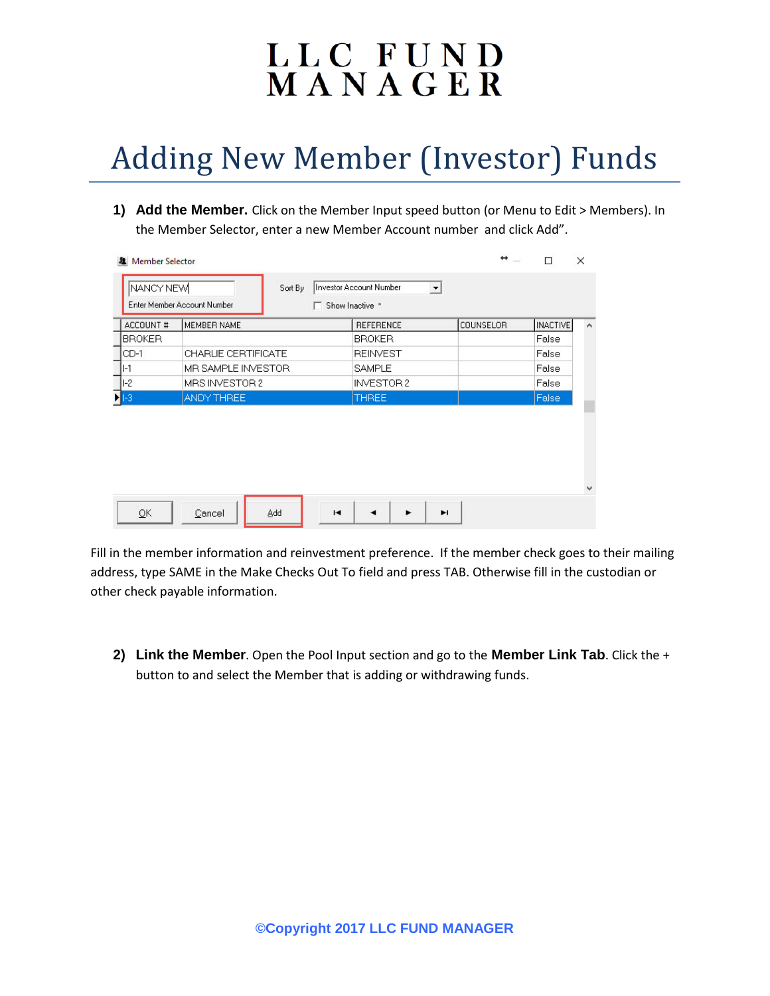## LLC FUND<br>MANAGER

## Adding New Member (Investor) Funds

**1) Add the Member.** Click on the Member Input speed button (or Menu to Edit > Members). In the Member Selector, enter a new Member Account number and click Add".

|                           | Enter Member Account Number<br>┍ | Show Inactive *  |                  |                 |   |
|---------------------------|----------------------------------|------------------|------------------|-----------------|---|
| ACCOUNT #                 | <b>MEMBER NAME</b>               | <b>REFERENCE</b> | <b>COUNSELOR</b> | <b>INACTIVE</b> | ∧ |
| <b>BROKER</b>             |                                  | <b>BROKER</b>    |                  | False           |   |
| $CD-1$                    | CHARLIE CERTIFICATE              | <b>REINVEST</b>  |                  | False           |   |
| II-1                      | MR SAMPLE INVESTOR               | <b>SAMPLE</b>    |                  | False           |   |
| $ I-2 $                   | MRS INVESTOR 2                   | INVESTOR 2       |                  | False           |   |
| $\blacktriangleright$ 1-3 | ANDY THREE                       | <b>THREE</b>     |                  | False           |   |
|                           |                                  |                  |                  |                 |   |

Fill in the member information and reinvestment preference. If the member check goes to their mailing address, type SAME in the Make Checks Out To field and press TAB. Otherwise fill in the custodian or other check payable information.

**2) Link the Member**. Open the Pool Input section and go to the **Member Link Tab**. Click the + button to and select the Member that is adding or withdrawing funds.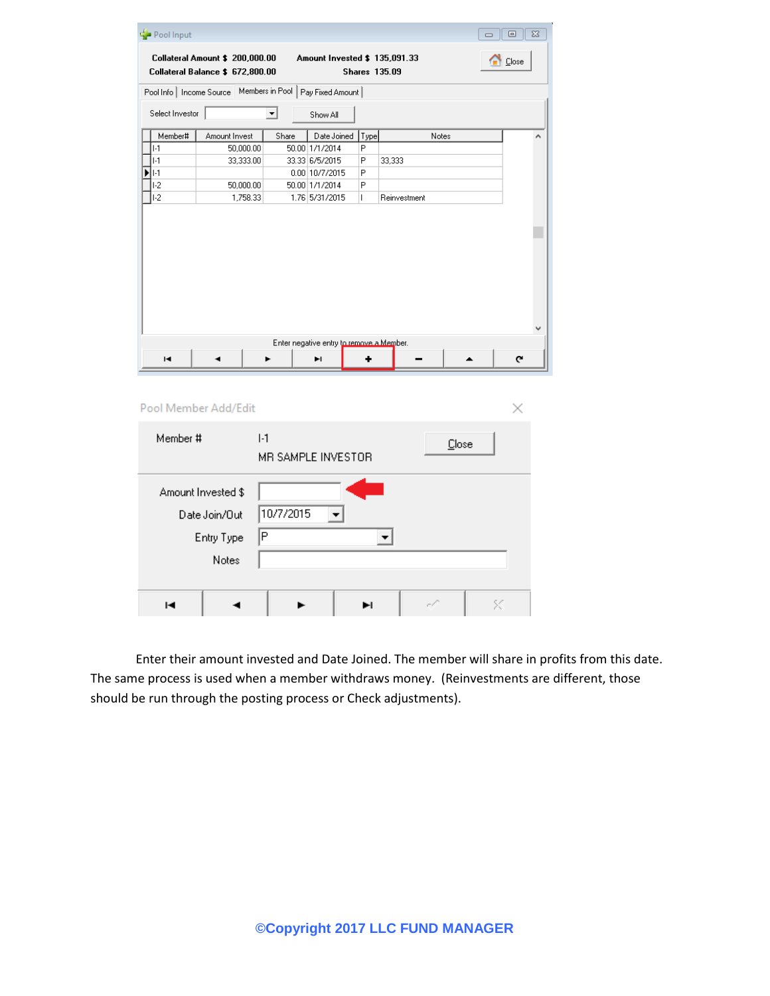| Pool Input                |                                                                     |                 |                                               |      |                      | $\Box$ | $\Box$<br>$\Sigma$ |
|---------------------------|---------------------------------------------------------------------|-----------------|-----------------------------------------------|------|----------------------|--------|--------------------|
|                           | Collateral Amount \$ 200,000.00<br>Collateral Balance \$ 672,800.00 |                 | Amount Invested \$ 135,091.33                 |      | <b>Shares 135.09</b> |        | $\bigcap$ Close    |
| Pool Info   Income Source |                                                                     | Members in Pool | Pay Fixed Amount                              |      |                      |        |                    |
| Select Investor           |                                                                     | $\mathbf{r}$    | Show All                                      |      |                      |        |                    |
| Member#                   | Amount Invest                                                       | Share           | Date Joined                                   | Type | Notes                |        |                    |
| ·1                        | 50,000.00                                                           |                 | 50.00 1/1/2014                                | P    |                      |        |                    |
| $  -1$                    | 33,333.00                                                           |                 | 33.33 6/5/2015                                | P    | 33,333               |        |                    |
| DI 1-1                    |                                                                     |                 | 0.00 10/7/2015                                | Ρ    |                      |        |                    |
| $1-2$                     | 50,000.00                                                           |                 | 50.00 1/1/2014                                | P    |                      |        |                    |
| $1-2$                     | 1,758.33                                                            |                 | 1.76 5/31/2015                                | L    | Reinvestment         |        |                    |
| н                         | Pool Member Add/Edit                                                |                 | Enter negative entry to remove a Member.<br>ы |      |                      |        | c                  |
|                           |                                                                     |                 |                                               |      |                      |        | ×                  |
| Member #                  |                                                                     | $1-1$           | MR SAMPLE INVESTOR                            |      | Close                |        |                    |
|                           | Amount Invested \$                                                  |                 |                                               |      |                      |        |                    |
|                           | Date Join/Out                                                       | 10/7/2015       |                                               |      |                      |        |                    |
|                           | Entry Type                                                          | P               |                                               |      |                      |        |                    |
|                           | Notes                                                               |                 |                                               |      |                      |        |                    |

Enter their amount invested and Date Joined. The member will share in profits from this date. The same process is used when a member withdraws money. (Reinvestments are different, those should be run through the posting process or Check adjustments).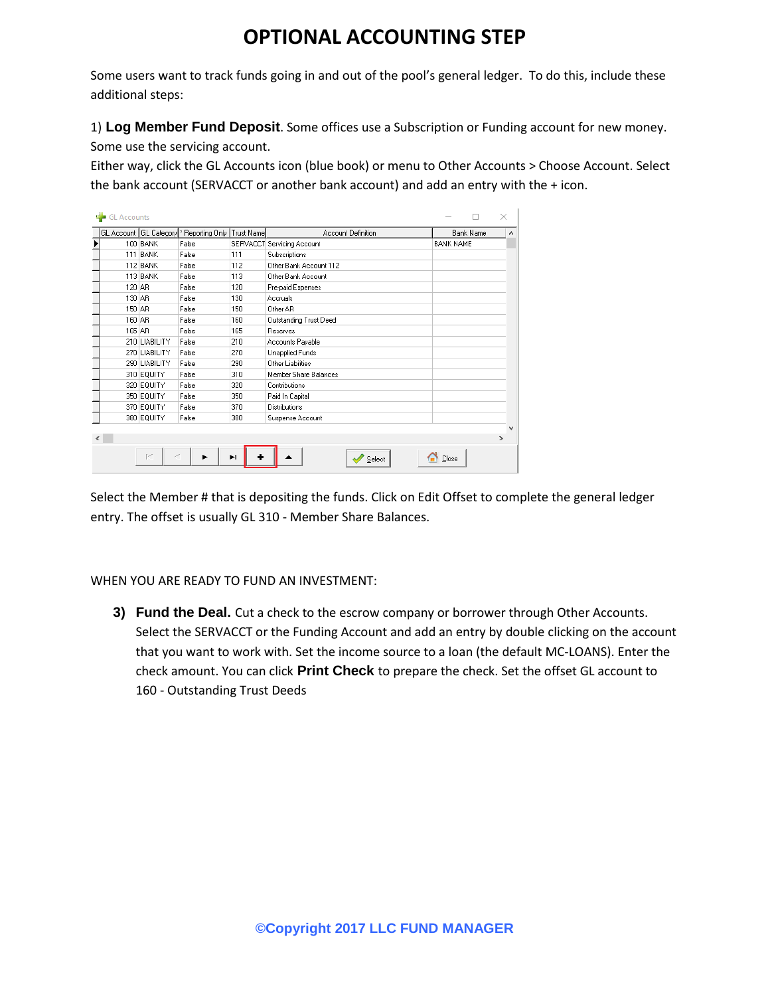## **OPTIONAL ACCOUNTING STEP**

Some users want to track funds going in and out of the pool's general ledger. To do this, include these additional steps:

1) **Log Member Fund Deposit**. Some offices use a Subscription or Funding account for new money.

Some use the servicing account.

Either way, click the GL Accounts icon (blue book) or menu to Other Accounts > Choose Account. Select the bank account (SERVACCT or another bank account) and add an entry with the + icon.

| GL Accounts |               |                                            |            |                            | $\times$         |   |
|-------------|---------------|--------------------------------------------|------------|----------------------------|------------------|---|
|             |               | GL Account   GL Category  * Reporting Only | Trust Name | Account Definition         | <b>Bank Name</b> | ۸ |
|             | 100 BANK      | False                                      |            | SERVACCT Servicing Account | <b>BANK NAME</b> |   |
| 111         | <b>BANK</b>   | False                                      | 111        | Subscriptions              |                  |   |
|             | 112 BANK      | False                                      | 112        | Other Bank Account 112     |                  |   |
|             | 113 BANK      | False                                      | 113        | Other Bank Account         |                  |   |
| 120 AR      |               | False                                      | 120        | Pre-paid Expenses          |                  |   |
| 130 AB      |               | False                                      | 130        | Accruals                   |                  |   |
| 150 AR      |               | False                                      | 150        | Other AR                   |                  |   |
| 160 AR      |               | False                                      | 160        | Outstanding Trust Deed     |                  |   |
| 165 AR      |               | False                                      | 165        | Reserves                   |                  |   |
|             | 210 LIABILITY | False                                      | 210        | Accounts Payable           |                  |   |
|             | 270 LIABILITY | False                                      | 270        | Unapplied Funds            |                  |   |
|             | 290 LIABILITY | False                                      | 290        | Other Liabilities          |                  |   |
|             | 310 EQUITY    | False                                      | 310        | Member Share Balances      |                  |   |
|             | 320 EQUITY    | False                                      | 320        | Contributions              |                  |   |
|             | 350 EQUITY    | False                                      | 350        | Paid In Capital            |                  |   |
|             | 370 EQUITY    | False                                      | 370        | <b>Distributions</b>       |                  |   |
|             | 380 EQUITY    | False                                      | 380        | Suspense Account           |                  |   |
|             |               |                                            |            |                            |                  |   |
|             |               |                                            |            |                            | $\rightarrow$    |   |
|             | F-1           | ►                                          | ы          | Select                     | Close            |   |

Select the Member # that is depositing the funds. Click on Edit Offset to complete the general ledger entry. The offset is usually GL 310 - Member Share Balances.

WHEN YOU ARE READY TO FUND AN INVESTMENT:

**3) Fund the Deal.** Cut a check to the escrow company or borrower through Other Accounts. Select the SERVACCT or the Funding Account and add an entry by double clicking on the account that you want to work with. Set the income source to a loan (the default MC-LOANS). Enter the check amount. You can click **Print Check** to prepare the check. Set the offset GL account to 160 - Outstanding Trust Deeds